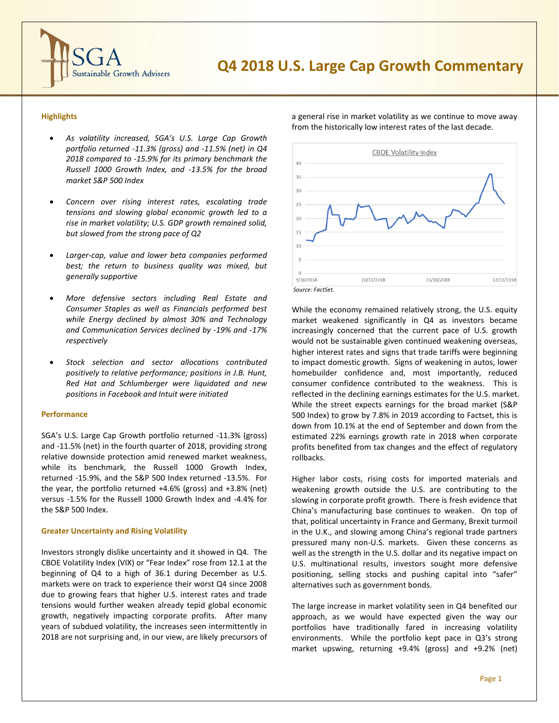

# **Q4 2018 U.S. Large Cap Growth Commentary**

## **Highlights**

- *As volatility increased, SGA's U.S. Large Cap Growth portfolio returned -11.3% (gross) and -11.5% (net) in Q4 2018 compared to -15.9% for its primary benchmark the Russell 1000 Growth Index, and -13.5% for the broad market S&P 500 Index*
- *Concern over rising interest rates, escalating trade tensions and slowing global economic growth led to a rise in market volatility; U.S. GDP growth remained solid, but slowed from the strong pace of Q2*
- *Larger-cap, value and lower beta companies performed best; the return to business quality was mixed, but generally supportive*
- *More defensive sectors including Real Estate and Consumer Staples as well as Financials performed best while Energy declined by almost 30% and Technology and Communication Services declined by -19% and -17% respectively*
- *Stock selection and sector allocations contributed positively to relative performance; positions in J.B. Hunt, Red Hat and Schlumberger were liquidated and new positions in Facebook and Intuit were initiated*

#### **Performance**

SGA's U.S. Large Cap Growth portfolio returned -11.3% (gross) and -11.5% (net) in the fourth quarter of 2018, providing strong relative downside protection amid renewed market weakness, while its benchmark, the Russell 1000 Growth Index, returned -15.9%, and the S&P 500 Index returned -13.5%. For the year, the portfolio returned +4.6% (gross) and +3.8% (net) versus -1.5% for the Russell 1000 Growth Index and -4.4% for the S&P 500 Index.

### **Greater Uncertainty and Rising Volatility**

Investors strongly dislike uncertainty and it showed in Q4. The CBOE Volatility Index (VIX) or "Fear Index" rose from 12.1 at the beginning of Q4 to a high of 36.1 during December as U.S. markets were on track to experience their worst Q4 since 2008 due to growing fears that higher U.S. interest rates and trade tensions would further weaken already tepid global economic growth, negatively impacting corporate profits. After many years of subdued volatility, the increases seen intermittently in 2018 are not surprising and, in our view, are likely precursors of

**CBOE Volatility Index**  $40$ 35  $30^{\circ}$  $25$  $20$ 15  $10<sup>1</sup>$ 9/30/2018 10/31/2018 11/30/2018 12/31/2018 *Source: FactSet.*

a general rise in market volatility as we continue to move away from the historically low interest rates of the last decade.



While the economy remained relatively strong, the U.S. equity market weakened significantly in Q4 as investors became increasingly concerned that the current pace of U.S. growth would not be sustainable given continued weakening overseas, higher interest rates and signs that trade tariffs were beginning to impact domestic growth. Signs of weakening in autos, lower homebuilder confidence and, most importantly, reduced consumer confidence contributed to the weakness. This is reflected in the declining earnings estimates for the U.S. market. While the street expects earnings for the broad market (S&P 500 Index) to grow by 7.8% in 2019 according to Factset, this is down from 10.1% at the end of September and down from the estimated 22% earnings growth rate in 2018 when corporate profits benefited from tax changes and the effect of regulatory rollbacks.

Higher labor costs, rising costs for imported materials and weakening growth outside the U.S. are contributing to the slowing in corporate profit growth. There is fresh evidence that China's manufacturing base continues to weaken. On top of that, political uncertainty in France and Germany, Brexit turmoil in the U.K., and slowing among China's regional trade partners pressured many non-U.S. markets. Given these concerns as well as the strength in the U.S. dollar and its negative impact on U.S. multinational results, investors sought more defensive positioning, selling stocks and pushing capital into "safer" alternatives such as government bonds.

The large increase in market volatility seen in Q4 benefited our approach, as we would have expected given the way our portfolios have traditionally fared in increasing volatility environments. While the portfolio kept pace in Q3's strong market upswing, returning +9.4% (gross) and +9.2% (net)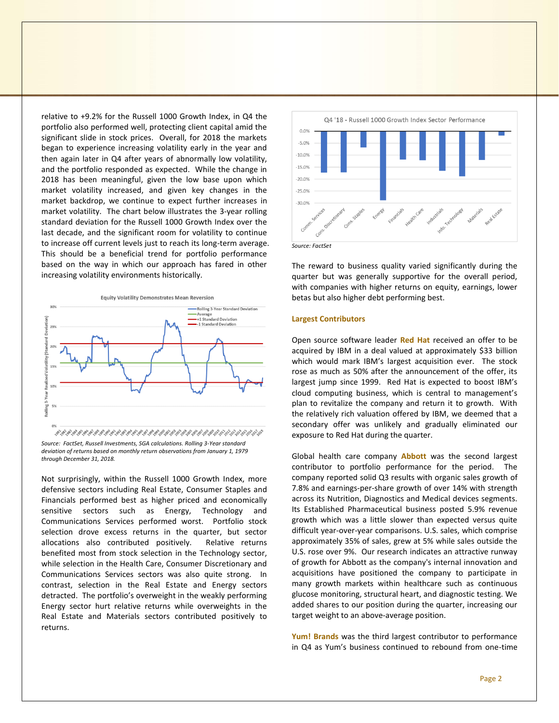relative to +9.2% for the Russell 1000 Growth Index, in Q4 the portfolio also performed well, protecting client capital amid the significant slide in stock prices. Overall, for 2018 the markets began to experience increasing volatility early in the year and then again later in Q4 after years of abnormally low volatility, and the portfolio responded as expected. While the change in 2018 has been meaningful, given the low base upon which market volatility increased, and given key changes in the market backdrop, we continue to expect further increases in market volatility. The chart below illustrates the 3-year rolling standard deviation for the Russell 1000 Growth Index over the last decade, and the significant room for volatility to continue to increase off current levels just to reach its long-term average. This should be a beneficial trend for portfolio performance based on the way in which our approach has fared in other increasing volatility environments historically.



*Source: FactSet, Russell Investments, SGA calculations. Rolling 3-Year standard deviation of returns based on monthly return observations from January 1, 1979 through December 31, 2018.*

Not surprisingly, within the Russell 1000 Growth Index, more defensive sectors including Real Estate, Consumer Staples and Financials performed best as higher priced and economically sensitive sectors such as Energy, Technology and Communications Services performed worst. Portfolio stock selection drove excess returns in the quarter, but sector allocations also contributed positively. Relative returns benefited most from stock selection in the Technology sector, while selection in the Health Care, Consumer Discretionary and Communications Services sectors was also quite strong. In contrast, selection in the Real Estate and Energy sectors detracted. The portfolio's overweight in the weakly performing Energy sector hurt relative returns while overweights in the Real Estate and Materials sectors contributed positively to returns.



The reward to business quality varied significantly during the quarter but was generally supportive for the overall period, with companies with higher returns on equity, earnings, lower betas but also higher debt performing best.

## **Largest Contributors**

Open source software leader **Red Hat** received an offer to be acquired by IBM in a deal valued at approximately \$33 billion which would mark IBM's largest acquisition ever. The stock rose as much as 50% after the announcement of the offer, its largest jump since 1999. Red Hat is expected to boost IBM's cloud computing business, which is central to management's plan to revitalize the company and return it to growth. With the relatively rich valuation offered by IBM, we deemed that a secondary offer was unlikely and gradually eliminated our exposure to Red Hat during the quarter.

Global health care company **Abbott** was the second largest contributor to portfolio performance for the period. The company reported solid Q3 results with organic sales growth of 7.8% and earnings-per-share growth of over 14% with strength across its Nutrition, Diagnostics and Medical devices segments. Its Established Pharmaceutical business posted 5.9% revenue growth which was a little slower than expected versus quite difficult year-over-year comparisons. U.S. sales, which comprise approximately 35% of sales, grew at 5% while sales outside the U.S. rose over 9%. Our research indicates an attractive runway of growth for Abbott as the company's internal innovation and acquisitions have positioned the company to participate in many growth markets within healthcare such as continuous glucose monitoring, structural heart, and diagnostic testing. We added shares to our position during the quarter, increasing our target weight to an above-average position.

**Yum! Brands** was the third largest contributor to performance in Q4 as Yum's business continued to rebound from one-time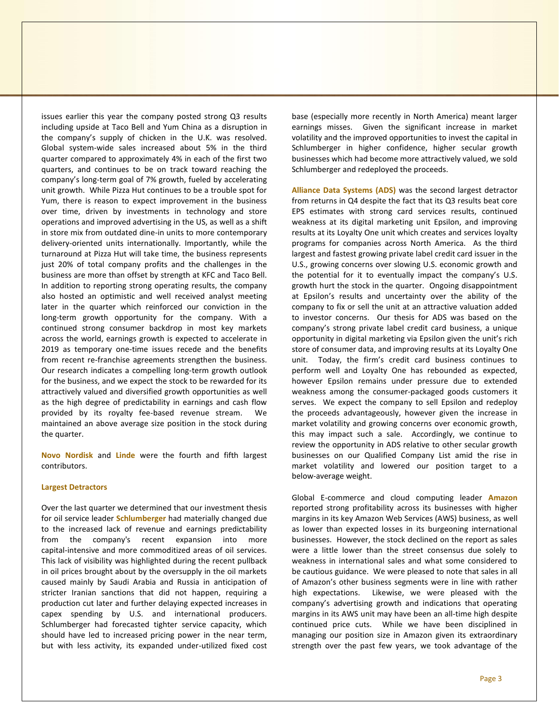issues earlier this year the company posted strong Q3 results including upside at Taco Bell and Yum China as a disruption in the company's supply of chicken in the U.K. was resolved. Global system-wide sales increased about 5% in the third quarter compared to approximately 4% in each of the first two quarters, and continues to be on track toward reaching the company's long-term goal of 7% growth, fueled by accelerating unit growth. While Pizza Hut continues to be a trouble spot for Yum, there is reason to expect improvement in the business over time, driven by investments in technology and store operations and improved advertising in the US, as well as a shift in store mix from outdated dine-in units to more contemporary delivery-oriented units internationally. Importantly, while the turnaround at Pizza Hut will take time, the business represents just 20% of total company profits and the challenges in the business are more than offset by strength at KFC and Taco Bell. In addition to reporting strong operating results, the company also hosted an optimistic and well received analyst meeting later in the quarter which reinforced our conviction in the long-term growth opportunity for the company. With a continued strong consumer backdrop in most key markets across the world, earnings growth is expected to accelerate in 2019 as temporary one-time issues recede and the benefits from recent re-franchise agreements strengthen the business. Our research indicates a compelling long-term growth outlook for the business, and we expect the stock to be rewarded for its attractively valued and diversified growth opportunities as well as the high degree of predictability in earnings and cash flow provided by its royalty fee-based revenue stream. We maintained an above average size position in the stock during the quarter.

**Novo Nordisk** and **Linde** were the fourth and fifth largest contributors.

#### **Largest Detractors**

Over the last quarter we determined that our investment thesis for oil service leader **Schlumberger** had materially changed due to the increased lack of revenue and earnings predictability from the company's recent expansion into more capital-intensive and more commoditized areas of oil services. This lack of visibility was highlighted during the recent pullback in oil prices brought about by the oversupply in the oil markets caused mainly by Saudi Arabia and Russia in anticipation of stricter Iranian sanctions that did not happen, requiring a production cut later and further delaying expected increases in capex spending by U.S. and international producers. Schlumberger had forecasted tighter service capacity, which should have led to increased pricing power in the near term, but with less activity, its expanded under-utilized fixed cost

base (especially more recently in North America) meant larger earnings misses. Given the significant increase in market volatility and the improved opportunities to invest the capital in Schlumberger in higher confidence, higher secular growth businesses which had become more attractively valued, we sold Schlumberger and redeployed the proceeds.

**Alliance Data Systems (ADS)** was the second largest detractor from returns in Q4 despite the fact that its Q3 results beat core EPS estimates with strong card services results, continued weakness at its digital marketing unit Epsilon, and improving results at its Loyalty One unit which creates and services loyalty programs for companies across North America. As the third largest and fastest growing private label credit card issuer in the U.S., growing concerns over slowing U.S. economic growth and the potential for it to eventually impact the company's U.S. growth hurt the stock in the quarter. Ongoing disappointment at Epsilon's results and uncertainty over the ability of the company to fix or sell the unit at an attractive valuation added to investor concerns. Our thesis for ADS was based on the company's strong private label credit card business, a unique opportunity in digital marketing via Epsilon given the unit's rich store of consumer data, and improving results at its Loyalty One unit. Today, the firm's credit card business continues to perform well and Loyalty One has rebounded as expected, however Epsilon remains under pressure due to extended weakness among the consumer-packaged goods customers it serves. We expect the company to sell Epsilon and redeploy the proceeds advantageously, however given the increase in market volatility and growing concerns over economic growth, this may impact such a sale. Accordingly, we continue to review the opportunity in ADS relative to other secular growth businesses on our Qualified Company List amid the rise in market volatility and lowered our position target to a below-average weight.

Global E-commerce and cloud computing leader **Amazon** reported strong profitability across its businesses with higher margins in its key Amazon Web Services (AWS) business, as well as lower than expected losses in its burgeoning international businesses. However, the stock declined on the report as sales were a little lower than the street consensus due solely to weakness in international sales and what some considered to be cautious guidance. We were pleased to note that sales in all of Amazon's other business segments were in line with rather high expectations. Likewise, we were pleased with the company's advertising growth and indications that operating margins in its AWS unit may have been an all-time high despite continued price cuts. While we have been disciplined in managing our position size in Amazon given its extraordinary strength over the past few years, we took advantage of the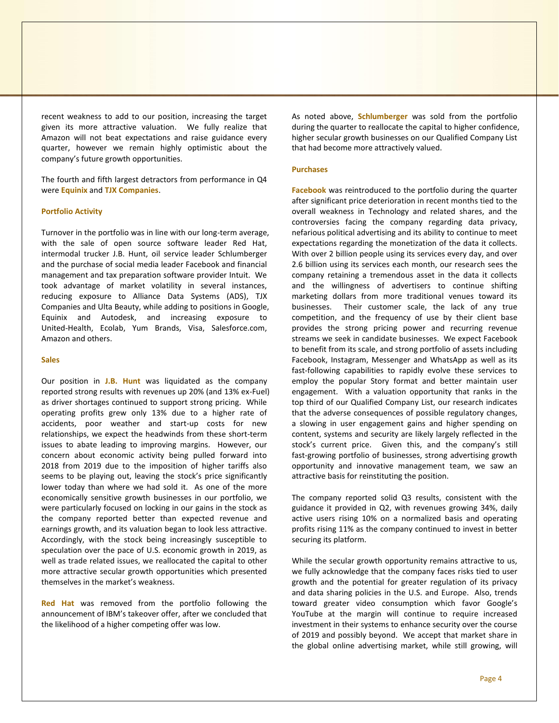recent weakness to add to our position, increasing the target given its more attractive valuation. We fully realize that Amazon will not beat expectations and raise guidance every quarter, however we remain highly optimistic about the company's future growth opportunities.

The fourth and fifth largest detractors from performance in Q4 were **Equinix** and **TJX Companies**.

## **Portfolio Activity**

Turnover in the portfolio was in line with our long-term average, with the sale of open source software leader Red Hat, intermodal trucker J.B. Hunt, oil service leader Schlumberger and the purchase of social media leader Facebook and financial management and tax preparation software provider Intuit. We took advantage of market volatility in several instances, reducing exposure to Alliance Data Systems (ADS), TJX Companies and Ulta Beauty, while adding to positions in Google, Equinix and Autodesk, and increasing exposure to United-Health, Ecolab, Yum Brands, Visa, Salesforce.com, Amazon and others.

## **Sales**

Our position in **J.B. Hunt** was liquidated as the company reported strong results with revenues up 20% (and 13% ex-Fuel) as driver shortages continued to support strong pricing. While operating profits grew only 13% due to a higher rate of accidents, poor weather and start-up costs for new relationships, we expect the headwinds from these short-term issues to abate leading to improving margins. However, our concern about economic activity being pulled forward into 2018 from 2019 due to the imposition of higher tariffs also seems to be playing out, leaving the stock's price significantly lower today than where we had sold it. As one of the more economically sensitive growth businesses in our portfolio, we were particularly focused on locking in our gains in the stock as the company reported better than expected revenue and earnings growth, and its valuation began to look less attractive. Accordingly, with the stock being increasingly susceptible to speculation over the pace of U.S. economic growth in 2019, as well as trade related issues, we reallocated the capital to other more attractive secular growth opportunities which presented themselves in the market's weakness.

**Red Hat** was removed from the portfolio following the announcement of IBM's takeover offer, after we concluded that the likelihood of a higher competing offer was low.

As noted above, **Schlumberger** was sold from the portfolio during the quarter to reallocate the capital to higher confidence, higher secular growth businesses on our Qualified Company List that had become more attractively valued.

## **Purchases**

**Facebook** was reintroduced to the portfolio during the quarter after significant price deterioration in recent months tied to the overall weakness in Technology and related shares, and the controversies facing the company regarding data privacy, nefarious political advertising and its ability to continue to meet expectations regarding the monetization of the data it collects. With over 2 billion people using its services every day, and over 2.6 billion using its services each month, our research sees the company retaining a tremendous asset in the data it collects and the willingness of advertisers to continue shifting marketing dollars from more traditional venues toward its businesses. Their customer scale, the lack of any true competition, and the frequency of use by their client base provides the strong pricing power and recurring revenue streams we seek in candidate businesses. We expect Facebook to benefit from its scale, and strong portfolio of assets including Facebook, Instagram, Messenger and WhatsApp as well as its fast-following capabilities to rapidly evolve these services to employ the popular Story format and better maintain user engagement. With a valuation opportunity that ranks in the top third of our Qualified Company List, our research indicates that the adverse consequences of possible regulatory changes, a slowing in user engagement gains and higher spending on content, systems and security are likely largely reflected in the stock's current price. Given this, and the company's still fast-growing portfolio of businesses, strong advertising growth opportunity and innovative management team, we saw an attractive basis for reinstituting the position.

The company reported solid Q3 results, consistent with the guidance it provided in Q2, with revenues growing 34%, daily active users rising 10% on a normalized basis and operating profits rising 11% as the company continued to invest in better securing its platform.

While the secular growth opportunity remains attractive to us, we fully acknowledge that the company faces risks tied to user growth and the potential for greater regulation of its privacy and data sharing policies in the U.S. and Europe. Also, trends toward greater video consumption which favor Google's YouTube at the margin will continue to require increased investment in their systems to enhance security over the course of 2019 and possibly beyond. We accept that market share in the global online advertising market, while still growing, will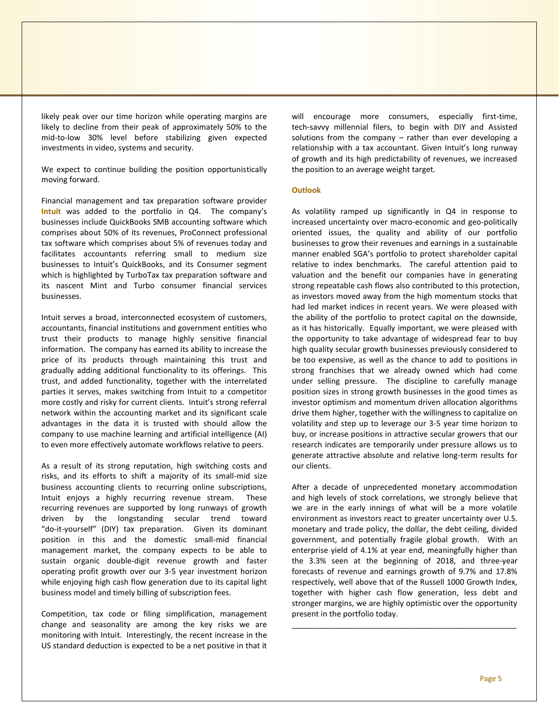likely peak over our time horizon while operating margins are likely to decline from their peak of approximately 50% to the mid-to-low 30% level before stabilizing given expected investments in video, systems and security.

We expect to continue building the position opportunistically moving forward.

Financial management and tax preparation software provider **Intuit** was added to the portfolio in Q4. The company's businesses include QuickBooks SMB accounting software which comprises about 50% of its revenues, ProConnect professional tax software which comprises about 5% of revenues today and facilitates accountants referring small to medium size businesses to Intuit's QuickBooks, and its Consumer segment which is highlighted by TurboTax tax preparation software and its nascent Mint and Turbo consumer financial services businesses.

Intuit serves a broad, interconnected ecosystem of customers, accountants, financial institutions and government entities who trust their products to manage highly sensitive financial information. The company has earned its ability to increase the price of its products through maintaining this trust and gradually adding additional functionality to its offerings. This trust, and added functionality, together with the interrelated parties it serves, makes switching from Intuit to a competitor more costly and risky for current clients. Intuit's strong referral network within the accounting market and its significant scale advantages in the data it is trusted with should allow the company to use machine learning and artificial intelligence (AI) to even more effectively automate workflows relative to peers.

As a result of its strong reputation, high switching costs and risks, and its efforts to shift a majority of its small-mid size business accounting clients to recurring online subscriptions, Intuit enjoys a highly recurring revenue stream. These recurring revenues are supported by long runways of growth driven by the longstanding secular trend toward "do-it-yourself" (DIY) tax preparation. Given its dominant position in this and the domestic small-mid financial management market, the company expects to be able to sustain organic double-digit revenue growth and faster operating profit growth over our 3-5 year investment horizon while enjoying high cash flow generation due to its capital light business model and timely billing of subscription fees.

Competition, tax code or filing simplification, management change and seasonality are among the key risks we are monitoring with Intuit. Interestingly, the recent increase in the US standard deduction is expected to be a net positive in that it

will encourage more consumers, especially first-time, tech-savvy millennial filers, to begin with DIY and Assisted solutions from the company – rather than ever developing a relationship with a tax accountant. Given Intuit's long runway of growth and its high predictability of revenues, we increased the position to an average weight target.

## **Outlook**

As volatility ramped up significantly in Q4 in response to increased uncertainty over macro-economic and geo-politically oriented issues, the quality and ability of our portfolio businesses to grow their revenues and earnings in a sustainable manner enabled SGA's portfolio to protect shareholder capital relative to index benchmarks. The careful attention paid to valuation and the benefit our companies have in generating strong repeatable cash flows also contributed to this protection, as investors moved away from the high momentum stocks that had led market indices in recent years. We were pleased with the ability of the portfolio to protect capital on the downside, as it has historically. Equally important, we were pleased with the opportunity to take advantage of widespread fear to buy high quality secular growth businesses previously considered to be too expensive, as well as the chance to add to positions in strong franchises that we already owned which had come under selling pressure. The discipline to carefully manage position sizes in strong growth businesses in the good times as investor optimism and momentum driven allocation algorithms drive them higher, together with the willingness to capitalize on volatility and step up to leverage our 3-5 year time horizon to buy, or increase positions in attractive secular growers that our research indicates are temporarily under pressure allows us to generate attractive absolute and relative long-term results for our clients.

After a decade of unprecedented monetary accommodation and high levels of stock correlations, we strongly believe that we are in the early innings of what will be a more volatile environment as investors react to greater uncertainty over U.S. monetary and trade policy, the dollar, the debt ceiling, divided government, and potentially fragile global growth. With an enterprise yield of 4.1% at year end, meaningfully higher than the 3.3% seen at the beginning of 2018, and three-year forecasts of revenue and earnings growth of 9.7% and 17.8% respectively, well above that of the Russell 1000 Growth Index, together with higher cash flow generation, less debt and stronger margins, we are highly optimistic over the opportunity present in the portfolio today.

\_\_\_\_\_\_\_\_\_\_\_\_\_\_\_\_\_\_\_\_\_\_\_\_\_\_\_\_\_\_\_\_\_\_\_\_\_\_\_\_\_\_\_\_\_\_\_\_\_\_\_\_